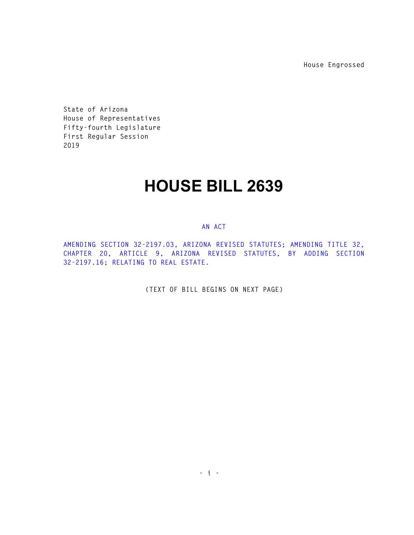**House Engrossed** 

**State of Arizona House of Representatives Fifty-fourth Legislature First Regular Session 2019** 

## **HOUSE BILL 2639**

## **AN ACT**

**AMENDING SECTION 32-2197.03, ARIZONA REVISED STATUTES; AMENDING TITLE 32, CHAPTER 20, ARTICLE 9, ARIZONA REVISED STATUTES, BY ADDING SECTION 32-2197.16; RELATING TO REAL ESTATE.** 

**(TEXT OF BILL BEGINS ON NEXT PAGE)**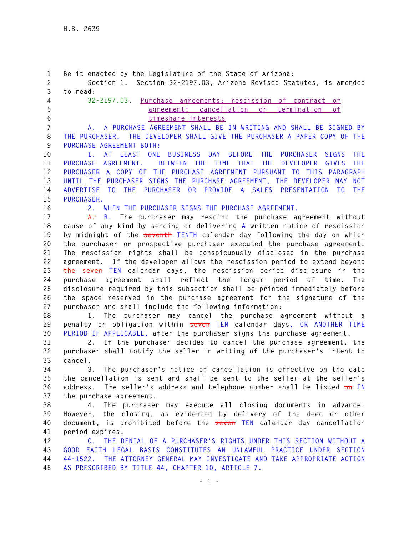**1 Be it enacted by the Legislature of the State of Arizona: 2 Section 1. Section 32-2197.03, Arizona Revised Statutes, is amended 3 to read: 4 32-2197.03. Purchase agreements; rescission of contract or 5 agreement; cancellation or termination of 6 timeshare interests 7 A. A PURCHASE AGREEMENT SHALL BE IN WRITING AND SHALL BE SIGNED BY 8 THE PURCHASER. THE DEVELOPER SHALL GIVE THE PURCHASER A PAPER COPY OF THE 9 PURCHASE AGREEMENT BOTH: 10 1. AT LEAST ONE BUSINESS DAY BEFORE THE PURCHASER SIGNS THE 11 PURCHASE AGREEMENT. BETWEEN THE TIME THAT THE DEVELOPER GIVES THE 12 PURCHASER A COPY OF THE PURCHASE AGREEMENT PURSUANT TO THIS PARAGRAPH 13 UNTIL THE PURCHASER SIGNS THE PURCHASE AGREEMENT, THE DEVELOPER MAY NOT 14 ADVERTISE TO THE PURCHASER OR PROVIDE A SALES PRESENTATION TO THE 15 PURCHASER. 16 2. WHEN THE PURCHASER SIGNS THE PURCHASE AGREEMENT. 17 A. B. The purchaser may rescind the purchase agreement without 18 cause of any kind by sending or delivering A written notice of rescission 19 by midnight of the seventh TENTH calendar day following the day on which 20 the purchaser or prospective purchaser executed the purchase agreement. 21 The rescission rights shall be conspicuously disclosed in the purchase 22 agreement. If the developer allows the rescission period to extend beyond 23 the seven TEN calendar days, the rescission period disclosure in the 24 purchase agreement shall reflect the longer period of time. The 25 disclosure required by this subsection shall be printed immediately before 26 the space reserved in the purchase agreement for the signature of the 27 purchaser and shall include the following information: 28 1. The purchaser may cancel the purchase agreement without a 29 penalty or obligation within seven TEN calendar days, OR ANOTHER TIME 30 PERIOD IF APPLICABLE, after the purchaser signs the purchase agreement. 31 2. If the purchaser decides to cancel the purchase agreement, the 32 purchaser shall notify the seller in writing of the purchaser's intent to 33 cancel. 34 3. The purchaser's notice of cancellation is effective on the date 35 the cancellation is sent and shall be sent to the seller at the seller's 36 address. The seller's address and telephone number shall be listed on IN 37 the purchase agreement. 38 4. The purchaser may execute all closing documents in advance. 39 However, the closing, as evidenced by delivery of the deed or other 40 document, is prohibited before the seven TEN calendar day cancellation 41 period expires. 42 C. THE DENIAL OF A PURCHASER'S RIGHTS UNDER THIS SECTION WITHOUT A 43 GOOD FAITH LEGAL BASIS CONSTITUTES AN UNLAWFUL PRACTICE UNDER SECTION 44 44-1522. THE ATTORNEY GENERAL MAY INVESTIGATE AND TAKE APPROPRIATE ACTION 45 AS PRESCRIBED BY TITLE 44, CHAPTER 10, ARTICLE 7.**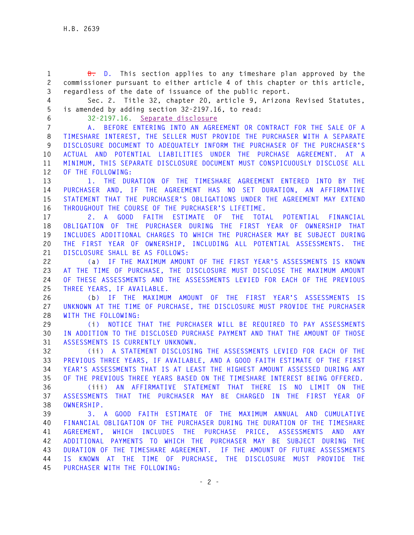**1 B. D. This section applies to any timeshare plan approved by the 2 commissioner pursuant to either article 4 of this chapter or this article, 3 regardless of the date of issuance of the public report.** 

**4 Sec. 2. Title 32, chapter 20, article 9, Arizona Revised Statutes, 5 is amended by adding section 32-2197.16, to read:** 

**6 32-2197.16. Separate disclosure**

**7 A. BEFORE ENTERING INTO AN AGREEMENT OR CONTRACT FOR THE SALE OF A 8 TIMESHARE INTEREST, THE SELLER MUST PROVIDE THE PURCHASER WITH A SEPARATE 9 DISCLOSURE DOCUMENT TO ADEQUATELY INFORM THE PURCHASER OF THE PURCHASER'S 10 ACTUAL AND POTENTIAL LIABILITIES UNDER THE PURCHASE AGREEMENT. AT A 11 MINIMUM, THIS SEPARATE DISCLOSURE DOCUMENT MUST CONSPICUOUSLY DISCLOSE ALL 12 OF THE FOLLOWING:** 

**13 1. THE DURATION OF THE TIMESHARE AGREEMENT ENTERED INTO BY THE 14 PURCHASER AND, IF THE AGREEMENT HAS NO SET DURATION, AN AFFIRMATIVE 15 STATEMENT THAT THE PURCHASER'S OBLIGATIONS UNDER THE AGREEMENT MAY EXTEND 16 THROUGHOUT THE COURSE OF THE PURCHASER'S LIFETIME.** 

**17 2. A GOOD FAITH ESTIMATE OF THE TOTAL POTENTIAL FINANCIAL 18 OBLIGATION OF THE PURCHASER DURING THE FIRST YEAR OF OWNERSHIP THAT 19 INCLUDES ADDITIONAL CHARGES TO WHICH THE PURCHASER MAY BE SUBJECT DURING 20 THE FIRST YEAR OF OWNERSHIP, INCLUDING ALL POTENTIAL ASSESSMENTS. THE 21 DISCLOSURE SHALL BE AS FOLLOWS:** 

**22 (a) IF THE MAXIMUM AMOUNT OF THE FIRST YEAR'S ASSESSMENTS IS KNOWN 23 AT THE TIME OF PURCHASE, THE DISCLOSURE MUST DISCLOSE THE MAXIMUM AMOUNT 24 OF THESE ASSESSMENTS AND THE ASSESSMENTS LEVIED FOR EACH OF THE PREVIOUS 25 THREE YEARS, IF AVAILABLE.** 

**26 (b) IF THE MAXIMUM AMOUNT OF THE FIRST YEAR'S ASSESSMENTS IS 27 UNKNOWN AT THE TIME OF PURCHASE, THE DISCLOSURE MUST PROVIDE THE PURCHASER 28 WITH THE FOLLOWING:** 

**29 (i) NOTICE THAT THE PURCHASER WILL BE REQUIRED TO PAY ASSESSMENTS 30 IN ADDITION TO THE DISCLOSED PURCHASE PAYMENT AND THAT THE AMOUNT OF THOSE 31 ASSESSMENTS IS CURRENTLY UNKNOWN.** 

**32 (ii) A STATEMENT DISCLOSING THE ASSESSMENTS LEVIED FOR EACH OF THE 33 PREVIOUS THREE YEARS, IF AVAILABLE, AND A GOOD FAITH ESTIMATE OF THE FIRST 34 YEAR'S ASSESSMENTS THAT IS AT LEAST THE HIGHEST AMOUNT ASSESSED DURING ANY 35 OF THE PREVIOUS THREE YEARS BASED ON THE TIMESHARE INTEREST BEING OFFERED.** 

**36 (iii) AN AFFIRMATIVE STATEMENT THAT THERE IS NO LIMIT ON THE 37 ASSESSMENTS THAT THE PURCHASER MAY BE CHARGED IN THE FIRST YEAR OF 38 OWNERSHIP.** 

**39 3. A GOOD FAITH ESTIMATE OF THE MAXIMUM ANNUAL AND CUMULATIVE 40 FINANCIAL OBLIGATION OF THE PURCHASER DURING THE DURATION OF THE TIMESHARE 41 AGREEMENT, WHICH INCLUDES THE PURCHASE PRICE, ASSESSMENTS AND ANY 42 ADDITIONAL PAYMENTS TO WHICH THE PURCHASER MAY BE SUBJECT DURING THE 43 DURATION OF THE TIMESHARE AGREEMENT. IF THE AMOUNT OF FUTURE ASSESSMENTS 44 IS KNOWN AT THE TIME OF PURCHASE, THE DISCLOSURE MUST PROVIDE THE 45 PURCHASER WITH THE FOLLOWING:**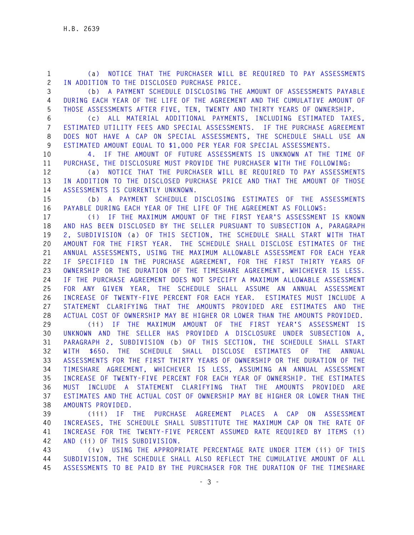**1 (a) NOTICE THAT THE PURCHASER WILL BE REQUIRED TO PAY ASSESSMENTS 2 IN ADDITION TO THE DISCLOSED PURCHASE PRICE. 3 (b) A PAYMENT SCHEDULE DISCLOSING THE AMOUNT OF ASSESSMENTS PAYABLE 4 DURING EACH YEAR OF THE LIFE OF THE AGREEMENT AND THE CUMULATIVE AMOUNT OF 5 THOSE ASSESSMENTS AFTER FIVE, TEN, TWENTY AND THIRTY YEARS OF OWNERSHIP. 6 (c) ALL MATERIAL ADDITIONAL PAYMENTS, INCLUDING ESTIMATED TAXES, 7 ESTIMATED UTILITY FEES AND SPECIAL ASSESSMENTS. IF THE PURCHASE AGREEMENT 8 DOES NOT HAVE A CAP ON SPECIAL ASSESSMENTS, THE SCHEDULE SHALL USE AN 9 ESTIMATED AMOUNT EQUAL TO \$1,000 PER YEAR FOR SPECIAL ASSESSMENTS. 10 4. IF THE AMOUNT OF FUTURE ASSESSMENTS IS UNKNOWN AT THE TIME OF 11 PURCHASE, THE DISCLOSURE MUST PROVIDE THE PURCHASER WITH THE FOLLOWING: 12 (a) NOTICE THAT THE PURCHASER WILL BE REQUIRED TO PAY ASSESSMENTS 13 IN ADDITION TO THE DISCLOSED PURCHASE PRICE AND THAT THE AMOUNT OF THOSE 14 ASSESSMENTS IS CURRENTLY UNKNOWN. 15 (b) A PAYMENT SCHEDULE DISCLOSING ESTIMATES OF THE ASSESSMENTS 16 PAYABLE DURING EACH YEAR OF THE LIFE OF THE AGREEMENT AS FOLLOWS: 17 (i) IF THE MAXIMUM AMOUNT OF THE FIRST YEAR'S ASSESSMENT IS KNOWN 18 AND HAS BEEN DISCLOSED BY THE SELLER PURSUANT TO SUBSECTION A, PARAGRAPH 19 2, SUBDIVISION (a) OF THIS SECTION, THE SCHEDULE SHALL START WITH THAT 20 AMOUNT FOR THE FIRST YEAR. THE SCHEDULE SHALL DISCLOSE ESTIMATES OF THE 21 ANNUAL ASSESSMENTS, USING THE MAXIMUM ALLOWABLE ASSESSMENT FOR EACH YEAR 22 IF SPECIFIED IN THE PURCHASE AGREEMENT, FOR THE FIRST THIRTY YEARS OF 23 OWNERSHIP OR THE DURATION OF THE TIMESHARE AGREEMENT, WHICHEVER IS LESS. 24 IF THE PURCHASE AGREEMENT DOES NOT SPECIFY A MAXIMUM ALLOWABLE ASSESSMENT 25 FOR ANY GIVEN YEAR, THE SCHEDULE SHALL ASSUME AN ANNUAL ASSESSMENT 26 INCREASE OF TWENTY-FIVE PERCENT FOR EACH YEAR. ESTIMATES MUST INCLUDE A 27 STATEMENT CLARIFYING THAT THE AMOUNTS PROVIDED ARE ESTIMATES AND THE 28 ACTUAL COST OF OWNERSHIP MAY BE HIGHER OR LOWER THAN THE AMOUNTS PROVIDED. 29 (ii) IF THE MAXIMUM AMOUNT OF THE FIRST YEAR'S ASSESSMENT IS 30 UNKNOWN AND THE SELLER HAS PROVIDED A DISCLOSURE UNDER SUBSECTION A, 31 PARAGRAPH 2, SUBDIVISION (b) OF THIS SECTION, THE SCHEDULE SHALL START 32 WITH \$650. THE SCHEDULE SHALL DISCLOSE ESTIMATES OF THE ANNUAL 33 ASSESSMENTS FOR THE FIRST THIRTY YEARS OF OWNERSHIP OR THE DURATION OF THE 34 TIMESHARE AGREEMENT, WHICHEVER IS LESS, ASSUMING AN ANNUAL ASSESSMENT 35 INCREASE OF TWENTY-FIVE PERCENT FOR EACH YEAR OF OWNERSHIP. THE ESTIMATES 36 MUST INCLUDE A STATEMENT CLARIFYING THAT THE AMOUNTS PROVIDED ARE 37 ESTIMATES AND THE ACTUAL COST OF OWNERSHIP MAY BE HIGHER OR LOWER THAN THE 38 AMOUNTS PROVIDED. 39 (iii) IF THE PURCHASE AGREEMENT PLACES A CAP ON ASSESSMENT 40 INCREASES, THE SCHEDULE SHALL SUBSTITUTE THE MAXIMUM CAP ON THE RATE OF 41 INCREASE FOR THE TWENTY-FIVE PERCENT ASSUMED RATE REQUIRED BY ITEMS (i) 42 AND (ii) OF THIS SUBDIVISION. 43 (iv) USING THE APPROPRIATE PERCENTAGE RATE UNDER ITEM (ii) OF THIS 44 SUBDIVISION, THE SCHEDULE SHALL ALSO REFLECT THE CUMULATIVE AMOUNT OF ALL** 

**45 ASSESSMENTS TO BE PAID BY THE PURCHASER FOR THE DURATION OF THE TIMESHARE**